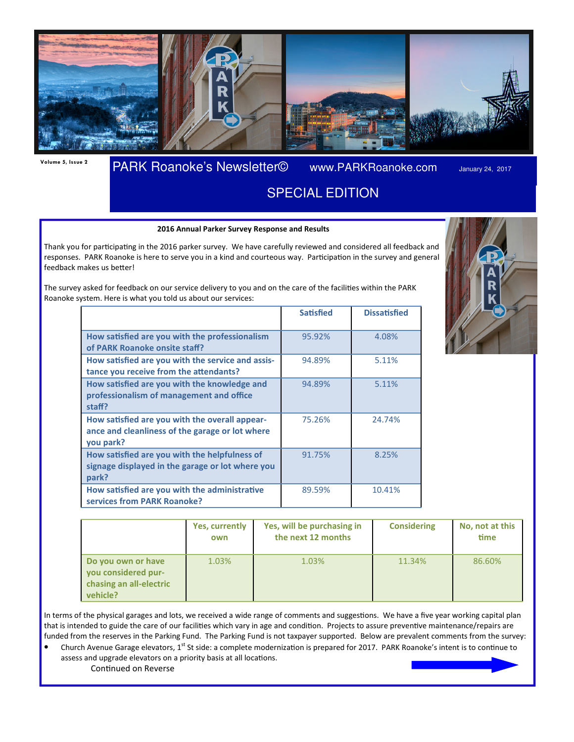

## Volume 5, Issue 2 PARK Roanoke's Newsletter© www.PARKRoanoke.com January 24, 2017

## SPECIAL EDITION

#### 2016 Annual Parker Survey Response and Results

Thank you for participating in the 2016 parker survey. We have carefully reviewed and considered all feedback and responses. PARK Roanoke is here to serve you in a kind and courteous way. Participation in the survey and general feedback makes us better!

The survey asked for feedback on our service delivery to you and on the care of the facilities within the PARK Roanoke system. Here is what you told us about our services:

|                                                                                                                | <b>Satisfied</b> | <b>Dissatisfied</b> |
|----------------------------------------------------------------------------------------------------------------|------------------|---------------------|
| How satisfied are you with the professionalism<br>of PARK Roanoke onsite staff?                                | 95.92%           | 4.08%               |
| How satisfied are you with the service and assis-<br>tance you receive from the attendants?                    | 94.89%           | 5.11%               |
| How satisfied are you with the knowledge and<br>professionalism of management and office<br>staff?             | 94.89%           | 5.11%               |
| How satisfied are you with the overall appear-<br>ance and cleanliness of the garage or lot where<br>you park? | 75.26%           | 24.74%              |
| How satisfied are you with the helpfulness of<br>signage displayed in the garage or lot where you<br>park?     | 91.75%           | 8.25%               |
| How satisfied are you with the administrative<br>services from PARK Roanoke?                                   | 89.59%           | 10.41%              |



|                                                                                  | Yes, currently<br>own | Yes, will be purchasing in<br>the next 12 months | <b>Considering</b> | No, not at this<br>time |
|----------------------------------------------------------------------------------|-----------------------|--------------------------------------------------|--------------------|-------------------------|
| Do you own or have<br>you considered pur-<br>chasing an all-electric<br>vehicle? | 1.03%                 | 1.03%                                            | 11.34%             | 86.60%                  |

In terms of the physical garages and lots, we received a wide range of comments and suggestions. We have a five year working capital plan that is intended to guide the care of our facilities which vary in age and condition. Projects to assure preventive maintenance/repairs are funded from the reserves in the Parking Fund. The Parking Fund is not taxpayer supported. Below are prevalent comments from the survey:

Church Avenue Garage elevators, 1<sup>st</sup> St side: a complete modernization is prepared for 2017. PARK Roanoke's intent is to continue to assess and upgrade elevators on a priority basis at all locations. Continued on Reverse